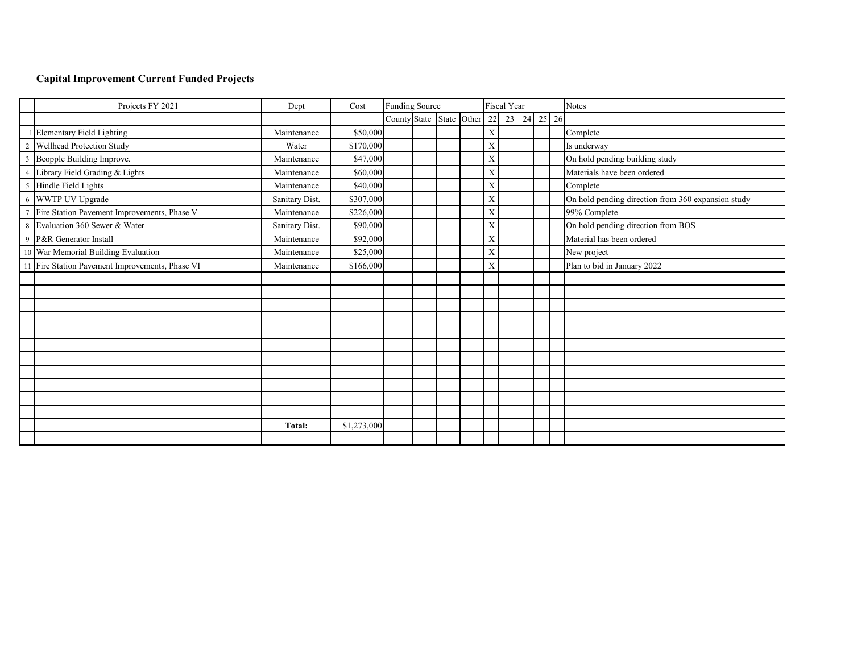# **Capital Improvement Current Funded Projects**

| Projects FY 2021                                | Dept           | Cost        | <b>Funding Source</b>    |  |  |  |             | <b>Fiscal Year</b> |  | <b>Notes</b>                                       |
|-------------------------------------------------|----------------|-------------|--------------------------|--|--|--|-------------|--------------------|--|----------------------------------------------------|
|                                                 |                |             | County State State Other |  |  |  |             | 22 23 24 25 26     |  |                                                    |
| <b>Elementary Field Lighting</b>                | Maintenance    | \$50,000    |                          |  |  |  | $\mathbf X$ |                    |  | Complete                                           |
| Wellhead Protection Study                       | Water          | \$170,000   |                          |  |  |  | $\mathbf X$ |                    |  | Is underway                                        |
| Beopple Building Improve.                       | Maintenance    | \$47,000    |                          |  |  |  | X           |                    |  | On hold pending building study                     |
| Library Field Grading & Lights                  | Maintenance    | \$60,000    |                          |  |  |  | $\mathbf X$ |                    |  | Materials have been ordered                        |
| 5 Hindle Field Lights                           | Maintenance    | \$40,000    |                          |  |  |  | $\mathbf X$ |                    |  | Complete                                           |
| 6 WWTP UV Upgrade                               | Sanitary Dist. | \$307,000   |                          |  |  |  | $\mathbf X$ |                    |  | On hold pending direction from 360 expansion study |
| Fire Station Pavement Improvements, Phase V     | Maintenance    | \$226,000   |                          |  |  |  | $\mathbf X$ |                    |  | 99% Complete                                       |
| 8 Evaluation 360 Sewer & Water                  | Sanitary Dist. | \$90,000    |                          |  |  |  | $\mathbf X$ |                    |  | On hold pending direction from BOS                 |
| 9 P&R Generator Install                         | Maintenance    | \$92,000    |                          |  |  |  | $\mathbf X$ |                    |  | Material has been ordered                          |
| 10 War Memorial Building Evaluation             | Maintenance    | \$25,000    |                          |  |  |  | $\mathbf X$ |                    |  | New project                                        |
| 11 Fire Station Pavement Improvements, Phase VI | Maintenance    | \$166,000   |                          |  |  |  | X           |                    |  | Plan to bid in January 2022                        |
|                                                 |                |             |                          |  |  |  |             |                    |  |                                                    |
|                                                 |                |             |                          |  |  |  |             |                    |  |                                                    |
|                                                 |                |             |                          |  |  |  |             |                    |  |                                                    |
|                                                 |                |             |                          |  |  |  |             |                    |  |                                                    |
|                                                 |                |             |                          |  |  |  |             |                    |  |                                                    |
|                                                 |                |             |                          |  |  |  |             |                    |  |                                                    |
|                                                 |                |             |                          |  |  |  |             |                    |  |                                                    |
|                                                 |                |             |                          |  |  |  |             |                    |  |                                                    |
|                                                 |                |             |                          |  |  |  |             |                    |  |                                                    |
|                                                 |                |             |                          |  |  |  |             |                    |  |                                                    |
|                                                 |                |             |                          |  |  |  |             |                    |  |                                                    |
|                                                 | Total:         | \$1,273,000 |                          |  |  |  |             |                    |  |                                                    |
|                                                 |                |             |                          |  |  |  |             |                    |  |                                                    |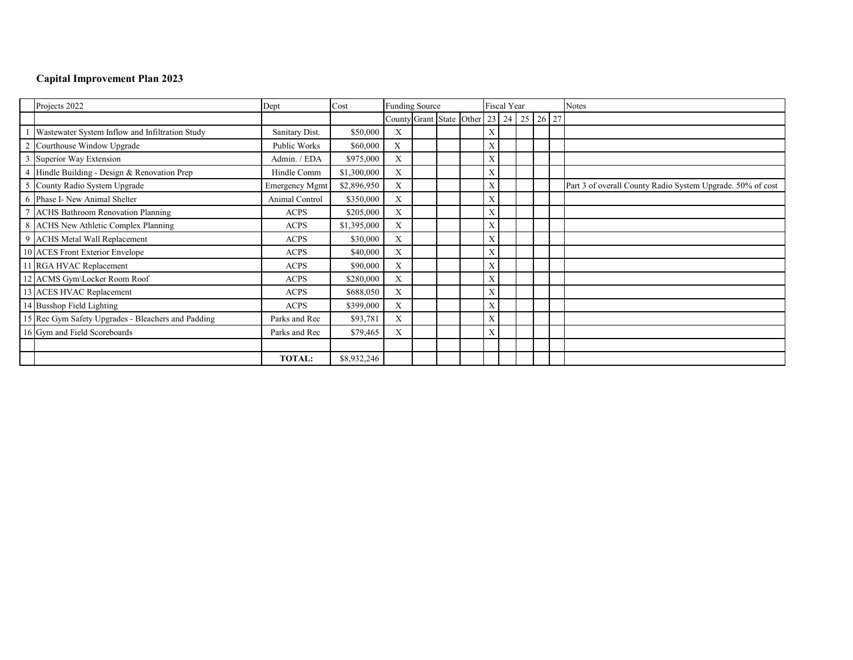|                | Projects 2022                                      | Dept                  | Cost        | <b>Funding Source</b>                   |  |  |  |   | Fiscal Year |  | <b>Notes</b>                                               |
|----------------|----------------------------------------------------|-----------------------|-------------|-----------------------------------------|--|--|--|---|-------------|--|------------------------------------------------------------|
|                |                                                    |                       |             | County Grant State Other 23 24 25 26 27 |  |  |  |   |             |  |                                                            |
|                | Wastewater System Inflow and Infiltration Study    | Sanitary Dist.        | \$50,000    | X                                       |  |  |  | X |             |  |                                                            |
| $\overline{2}$ | Courthouse Window Upgrade                          | Public Works          | \$60,000    | X                                       |  |  |  | X |             |  |                                                            |
| $\overline{3}$ | Superior Way Extension                             | Admin. / EDA          | \$975,000   | X                                       |  |  |  | X |             |  |                                                            |
|                | Hindle Building - Design & Renovation Prep         | Hindle Comm           | \$1,300,000 | X                                       |  |  |  | X |             |  |                                                            |
|                | 5 County Radio System Upgrade                      | <b>Emergency Mgmt</b> | \$2,896,950 | X                                       |  |  |  | X |             |  | Part 3 of overall County Radio System Upgrade. 50% of cost |
|                | 6 Phase I- New Animal Shelter                      | Animal Control        | \$350,000   | X                                       |  |  |  | X |             |  |                                                            |
| $\mathcal{L}$  | <b>ACHS Bathroom Renovation Planning</b>           | <b>ACPS</b>           | \$205,000   | X                                       |  |  |  | X |             |  |                                                            |
|                | 8 ACHS New Athletic Complex Planning               | <b>ACPS</b>           | \$1,395,000 | X                                       |  |  |  | X |             |  |                                                            |
| 9              | <b>ACHS</b> Metal Wall Replacement                 | <b>ACPS</b>           | \$30,000    | X                                       |  |  |  | X |             |  |                                                            |
|                | 10 ACES Front Exterior Envelope                    | <b>ACPS</b>           | \$40,000    | X                                       |  |  |  | X |             |  |                                                            |
|                | RGA HVAC Replacement                               | <b>ACPS</b>           | \$90,000    | X                                       |  |  |  | X |             |  |                                                            |
|                | 12 ACMS Gym\Locker Room Roof                       | <b>ACPS</b>           | \$280,000   | X                                       |  |  |  | X |             |  |                                                            |
|                | 13 ACES HVAC Replacement                           | <b>ACPS</b>           | \$688,050   | X                                       |  |  |  | X |             |  |                                                            |
|                | 14 Busshop Field Lighting                          | <b>ACPS</b>           | \$399,000   | X                                       |  |  |  | X |             |  |                                                            |
|                | 15 Rec Gym Safety Upgrades - Bleachers and Padding | Parks and Rec         | \$93,781    | $\mathbf{X}$                            |  |  |  | X |             |  |                                                            |
|                | 16 Gym and Field Scoreboards                       | Parks and Rec         | \$79,465    | X                                       |  |  |  | X |             |  |                                                            |
|                |                                                    |                       |             |                                         |  |  |  |   |             |  |                                                            |
|                |                                                    | <b>TOTAL:</b>         | \$8,932,246 |                                         |  |  |  |   |             |  |                                                            |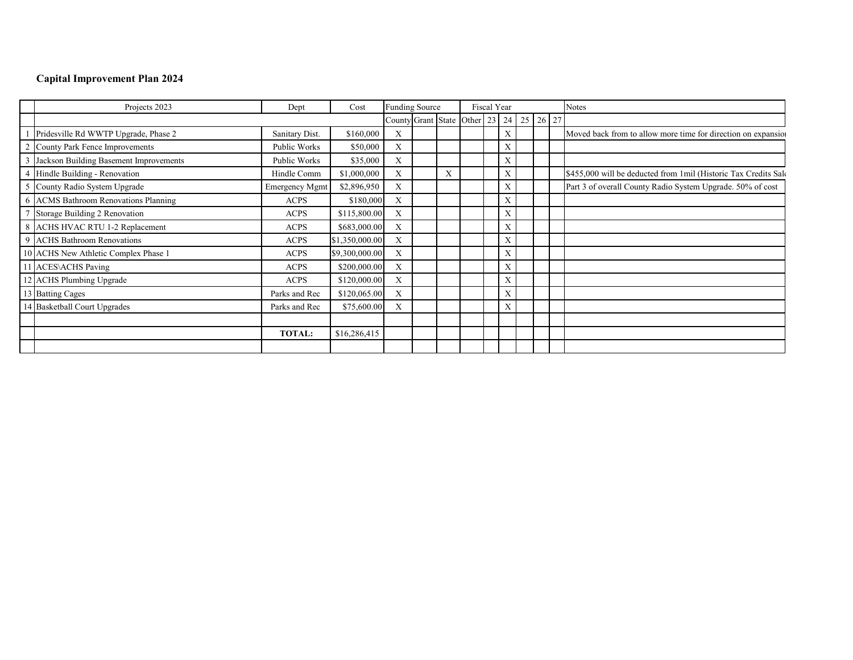|   | Projects 2023                          | Dept                  | Cost           | <b>Funding Source</b>                   |   | Fiscal Year |  |   |  |  | <b>Notes</b>                                                    |
|---|----------------------------------------|-----------------------|----------------|-----------------------------------------|---|-------------|--|---|--|--|-----------------------------------------------------------------|
|   |                                        |                       |                | County Grant State Other 23 24 25 26 27 |   |             |  |   |  |  |                                                                 |
|   | Pridesville Rd WWTP Upgrade, Phase 2   | Sanitary Dist.        | \$160,000      | X                                       |   |             |  | X |  |  | Moved back from to allow more time for direction on expansion   |
| 2 | County Park Fence Improvements         | Public Works          | \$50,000       | X                                       |   |             |  | Х |  |  |                                                                 |
|   | Jackson Building Basement Improvements | Public Works          | \$35,000       | X                                       |   |             |  | X |  |  |                                                                 |
|   | 4 Hindle Building - Renovation         | Hindle Comm           | \$1,000,000    | X                                       | X |             |  | X |  |  | \$455,000 will be deducted from 1mil (Historic Tax Credits Sale |
| 5 | County Radio System Upgrade            | <b>Emergency Mgmt</b> | \$2,896,950    | X                                       |   |             |  | X |  |  | Part 3 of overall County Radio System Upgrade. 50% of cost      |
|   | 6 ACMS Bathroom Renovations Planning   | <b>ACPS</b>           | \$180,000      | X                                       |   |             |  | X |  |  |                                                                 |
|   | Storage Building 2 Renovation          | <b>ACPS</b>           | \$115,800.00   | X                                       |   |             |  | X |  |  |                                                                 |
|   | 8 ACHS HVAC RTU 1-2 Replacement        | <b>ACPS</b>           | \$683,000.00   | X                                       |   |             |  | X |  |  |                                                                 |
|   | 9 ACHS Bathroom Renovations            | <b>ACPS</b>           | \$1,350,000.00 | X                                       |   |             |  | X |  |  |                                                                 |
|   | 10 ACHS New Athletic Complex Phase 1   | <b>ACPS</b>           | \$9,300,000.00 | X                                       |   |             |  | X |  |  |                                                                 |
|   | 11 ACES\ACHS Paving                    | <b>ACPS</b>           | \$200,000.00   | X                                       |   |             |  | X |  |  |                                                                 |
|   | 12 ACHS Plumbing Upgrade               | <b>ACPS</b>           | \$120,000.00   | X                                       |   |             |  | X |  |  |                                                                 |
|   | 13 Batting Cages                       | Parks and Rec         | \$120,065.00   | X                                       |   |             |  | X |  |  |                                                                 |
|   | 14 Basketball Court Upgrades           | Parks and Rec         | \$75,600.00    | X                                       |   |             |  | X |  |  |                                                                 |
|   |                                        |                       |                |                                         |   |             |  |   |  |  |                                                                 |
|   |                                        | <b>TOTAL:</b>         | \$16,286,415   |                                         |   |             |  |   |  |  |                                                                 |
|   |                                        |                       |                |                                         |   |             |  |   |  |  |                                                                 |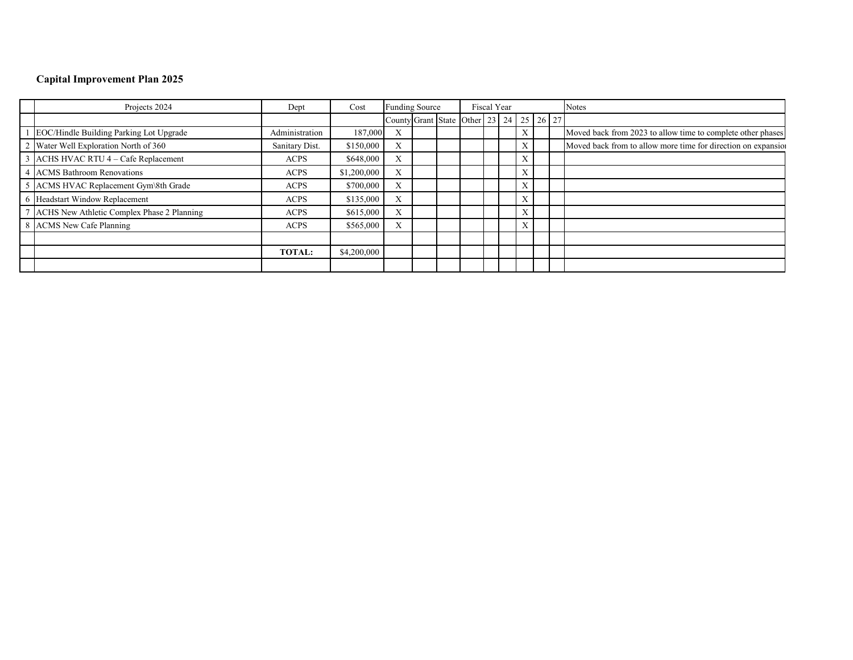| Projects 2024                              | Dept           | Cost        | <b>Funding Source</b>     |  |                                                 | Fiscal Year |  |   |  | <b>Notes</b>                                                  |
|--------------------------------------------|----------------|-------------|---------------------------|--|-------------------------------------------------|-------------|--|---|--|---------------------------------------------------------------|
|                                            |                |             |                           |  | County Grant State Other 23   24   25   26   27 |             |  |   |  |                                                               |
| EOC/Hindle Building Parking Lot Upgrade    | Administration | 187,000     | $\Lambda$                 |  |                                                 |             |  | X |  | Moved back from 2023 to allow time to complete other phases   |
| Water Well Exploration North of 360        | Sanitary Dist. | \$150,000   | $\mathbf{v}$<br>A         |  |                                                 |             |  | X |  | Moved back from to allow more time for direction on expansion |
| ACHS HVAC RTU 4 - Cafe Replacement         | <b>ACPS</b>    | \$648,000   | $\mathbf{v}$<br>$\Lambda$ |  |                                                 |             |  | X |  |                                                               |
| <b>ACMS</b> Bathroom Renovations           | <b>ACPS</b>    | \$1,200,000 | $\mathbf{v}$<br>$\Lambda$ |  |                                                 |             |  | X |  |                                                               |
| 5 ACMS HVAC Replacement Gym\8th Grade      | <b>ACPS</b>    | \$700,000   | $\Lambda$                 |  |                                                 |             |  | X |  |                                                               |
| Headstart Window Replacement               | <b>ACPS</b>    | \$135,000   | $\mathbf{v}$<br>A         |  |                                                 |             |  | X |  |                                                               |
| ACHS New Athletic Complex Phase 2 Planning | <b>ACPS</b>    | \$615,000   | $\Lambda$                 |  |                                                 |             |  | X |  |                                                               |
| 8 ACMS New Cafe Planning                   | <b>ACPS</b>    | \$565,000   | $\mathbf{v}$<br>A         |  |                                                 |             |  | X |  |                                                               |
|                                            |                |             |                           |  |                                                 |             |  |   |  |                                                               |
|                                            | <b>TOTAL:</b>  | \$4,200,000 |                           |  |                                                 |             |  |   |  |                                                               |
|                                            |                |             |                           |  |                                                 |             |  |   |  |                                                               |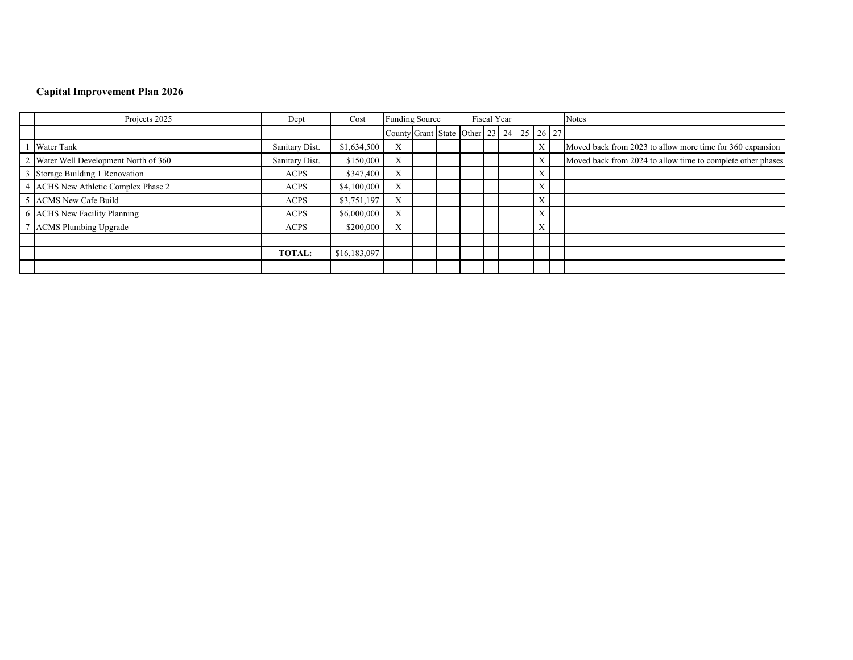| Projects 2025                         | Dept           | Cost         | <b>Funding Source</b><br>Fiscal Year    |  |  |  |  |  |  |   | <b>Notes</b>                                                |
|---------------------------------------|----------------|--------------|-----------------------------------------|--|--|--|--|--|--|---|-------------------------------------------------------------|
|                                       |                |              | County Grant State Other 23 24 25 26 27 |  |  |  |  |  |  |   |                                                             |
| <b>Water Tank</b>                     | Sanitary Dist. | \$1,634,500  | $\mathbf{x}$<br>л                       |  |  |  |  |  |  | X | Moved back from 2023 to allow more time for 360 expansion   |
| 2 Water Well Development North of 360 | Sanitary Dist. | \$150,000    | $\mathbf{v}$<br>л                       |  |  |  |  |  |  | X | Moved back from 2024 to allow time to complete other phases |
| Storage Building 1 Renovation         | <b>ACPS</b>    | \$347,400    | $\mathbf{v}$<br>л                       |  |  |  |  |  |  | X |                                                             |
| 4 ACHS New Athletic Complex Phase 2   | <b>ACPS</b>    | \$4,100,000  | $\mathbf{x}$<br>A                       |  |  |  |  |  |  | X |                                                             |
| 5 ACMS New Cafe Build                 | <b>ACPS</b>    | \$3,751,197  | $\mathbf{x}$<br>A                       |  |  |  |  |  |  | X |                                                             |
| 6 ACHS New Facility Planning          | <b>ACPS</b>    | \$6,000,000  | $\mathbf{x}$<br>A                       |  |  |  |  |  |  | X |                                                             |
| ACMS Plumbing Upgrade                 | <b>ACPS</b>    | \$200,000    | $\mathbf{x}$<br>л                       |  |  |  |  |  |  | X |                                                             |
|                                       |                |              |                                         |  |  |  |  |  |  |   |                                                             |
|                                       | <b>TOTAL:</b>  | \$16,183,097 |                                         |  |  |  |  |  |  |   |                                                             |
|                                       |                |              |                                         |  |  |  |  |  |  |   |                                                             |